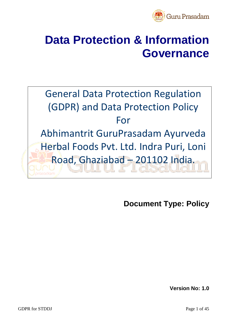

## **Data Protection & Information Governance**

General Data Protection Regulation (GDPR) and Data Protection Policy For Abhimantrit GuruPrasadam Ayurveda Herbal Foods Pvt. Ltd. Indra Puri, Loni Road, Ghaziabad – 201102 India.

**Document Type: Policy**

**Version No: 1.0**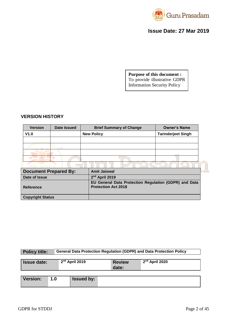

**Issue Date: 27 Mar 2019**

**Purpose of this document :** To provide illustrative GDPR Information Security Policy

### **VERSION HISTORY**

| <b>Version</b> | Date Issued | <b>Brief Summary of Change</b> | <b>Owner's Name</b>       |  |
|----------------|-------------|--------------------------------|---------------------------|--|
| V1.0           |             | <b>New Policy</b>              | <b>Tarinderjeet Singh</b> |  |
|                |             |                                |                           |  |
|                |             |                                |                           |  |
|                |             |                                |                           |  |
|                |             |                                |                           |  |
|                |             |                                |                           |  |

| <b>Document Prepared By:</b> | <b>Amit Jaiswal</b>                                                                 |
|------------------------------|-------------------------------------------------------------------------------------|
| Date of Issue                | 2 <sup>nd</sup> April 2019                                                          |
| <b>Reference</b>             | EU General Data Protection Regulation (GDPR) and Data<br><b>Protection Act 2018</b> |
| <b>Copyright Status</b>      |                                                                                     |

| <b>Policy title:</b> | <b>General Data Protection Regulation (GDPR) and Data Protection Policy</b> |                        |                            |  |
|----------------------|-----------------------------------------------------------------------------|------------------------|----------------------------|--|
|                      |                                                                             |                        |                            |  |
| <b>Issue date:</b>   | 2 <sup>nd</sup> April 2019                                                  | <b>Review</b><br>date: | 2 <sup>nd</sup> April 2020 |  |
|                      |                                                                             |                        |                            |  |

| Version:<br>.0<br><b>Issued by:</b> |  |
|-------------------------------------|--|
|-------------------------------------|--|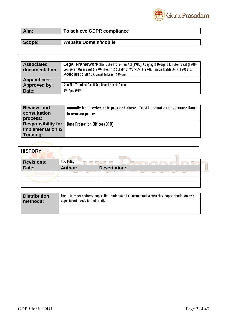

### **Aim: To achieve GDPR compliance**

### **Scope: Website Domain/Mobile**

| <b>Associated</b><br>documentation: | Legal Framework: The Data Protection Act (1998), Copyright Designs & Patents Act (1988),<br>Computer Misuse Act (1990), Health & Safety at Work Act (1974), Human Rights Act (1998) etc.<br>Policies: Staff NDA, email, Internet & Media |
|-------------------------------------|------------------------------------------------------------------------------------------------------------------------------------------------------------------------------------------------------------------------------------------|
| <b>Appendices:</b>                  |                                                                                                                                                                                                                                          |
| Approved by:                        | Sant Shri Trilochan Das Ji Sachkhand Nanak Dham                                                                                                                                                                                          |
| Date:                               | 2 <sup>nd</sup> Apr, 2019                                                                                                                                                                                                                |

| <b>Review and</b><br>consultation | Annually from review date provided above. Trust Information Governance Board<br>to oversee process |
|-----------------------------------|----------------------------------------------------------------------------------------------------|
| process:                          |                                                                                                    |
| <b>Responsibility for</b>         | <b>Data Protection Officer (DPO)</b>                                                               |
| <b>Implementation &amp;</b>       |                                                                                                    |
| Training:                         |                                                                                                    |

## **HISTORY**

| <b>Revisions:</b>                                       | <b>New Policy</b> |                     |
|---------------------------------------------------------|-------------------|---------------------|
| Date:                                                   | <b>Author:</b>    | <b>Description:</b> |
| and a structure of the control of the<br>______________ |                   |                     |
|                                                         |                   |                     |
|                                                         |                   |                     |

| <b>Distribution</b> | Email, intranet address, paper distribution to all departmental secretaries, paper circulation by all |  |  |  |  |
|---------------------|-------------------------------------------------------------------------------------------------------|--|--|--|--|
| methods:            | department heads to their staff.                                                                      |  |  |  |  |
|                     |                                                                                                       |  |  |  |  |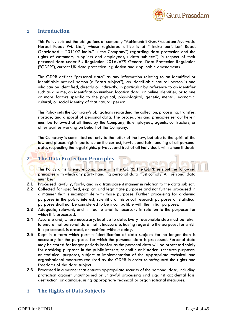

### **1 Introduction**

This Policy sets out the obligations of company "Abhimantrit GuruPrasadam Ayurveda Herbal Foods Pvt. Ltd.", whose registered office is at " Indra puri, Loni Road, Ghaziabad – 201102 India." ("the Company") regarding data protection and the rights of customers, suppliers and employees, ("data subjects") in respect of their personal data under EU Regulation 2016/679 General Data Protection Regulation ("GDPR"), current UK data protection legislation and applicable amendments.

The GDPR defines "personal data" as any information relating to an identified or identifiable natural person (a "data subject"); an identifiable natural person is one who can be identified, directly or indirectly, in particular by reference to an identifier such as a name, an identification number, location data, an online identifier, or to one or more factors specific to the physical, physiological, genetic, mental, economic, cultural, or social identity of that natural person.

This Policy sets the Company's obligations regarding the collection, processing, transfer, storage, and disposal of personal data. The procedures and principles set out herein must be followed at all times by the Company, its employees, agents, contractors, or other parties working on behalf of the Company.

The Company is committed not only to the letter of the law, but also to the spirit of the law and places high importance on the correct, lawful, and fair handling of all personal data, respecting the legal rights, privacy, and trust of all individuals with whom it deals.

### **2 The Data Protection Principles**

This Policy aims to ensure compliance with the GDPR. The GDPR sets out the following principles with which any party handling personal data must comply. All personal data must be:

- **2.1** Processed lawfully, fairly, and in a transparent manner in relation to the data subject.
- **2.2** Collected for specified, explicit, and legitimate purposes and not further processed in a manner that is incompatible with those purposes. Further processing for archiving purposes in the public interest, scientific or historical research purposes or statistical purposes shall not be considered to be incompatible with the initial purposes.
- **2.3** Adequate, relevant, and limited to what is necessary in relation to the purposes for which it is processed.
- **2.4** Accurate and, where necessary, kept up to date. Every reasonable step must be taken to ensure that personal data that is inaccurate, having regard to the purposes for which it is processed, is erased, or rectified without delay.
- **2.5** Kept in a form which permits identification of data subjects for no longer than is necessary for the purposes for which the personal data is processed. Personal data may be stored for longer periods insofar as the personal data will be processed solely for archiving purposes in the public interest, scientific or historical research purposes, or statistical purposes, subject to implementation of the appropriate technical and organisational measures required by the GDPR in order to safeguard the rights and freedoms of the data subject.
- **2.6** Processed in a manner that ensures appropriate security of the personal data, including protection against unauthorised or unlawful processing and against accidental loss, destruction, or damage, using appropriate technical or organisational measures.

### **3 The Rights of Data Subjects**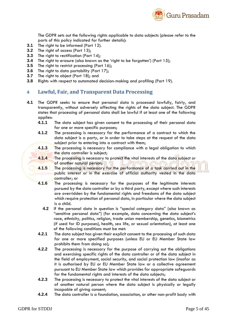

The GDPR sets out the following rights applicable to data subjects (please refer to the parts of this policy indicated for further details):

- **3.1** The right to be informed (Part 12).
- **3.2** The right of access (Part 13);
- **3.3** The right to rectification (Part 14);
- **3.4** The right to erasure (also known as the 'right to be forgotten') (Part 15);
- **3.5** The right to restrict processing (Part 16);
- **3.6** The right to data portability (Part 17);
- **3.7** The right to object (Part 18); and
- **3.8** Rights with respect to automated decision-making and profiling (Part 19).

### **4 Lawful, Fair, and Transparent Data Processing**

- **4.1** The GDPR seeks to ensure that personal data is processed lawfully, fairly, and transparently, without adversely affecting the rights of the data subject. The GDPR states that processing of personal data shall be lawful if at least one of the following applies:
	- **4.1.1** The data subject has given consent to the processing of their personal data for one or more specific purposes;
	- **4.1.2** The processing is necessary for the performance of a contract to which the data subject is a party, or in order to take steps at the request of the data subject prior to entering into a contract with them:
	- **4.1.3** The processing is necessary for compliance with a legal obligation to which the data controller is subject;
	- **4.1.4** The processing is necessary to protect the vital interests of the data subject or of another natural person;
	- **4.1.5** The processing is necessary for the performance of a task carried out in the public interest or in the exercise of official authority vested in the data controller; or
	- **4.1.6** The processing is necessary for the purposes of the legitimate interests pursued by the data controller or by a third party, except where such interests are overridden by the fundamental rights and freedoms of the data subject which require protection of personal data, in particular where the data subject is a child.
		- **4.2** If the personal data in question is "special category data" (also known as "sensitive personal data") (for example, data concerning the data subject's race, ethnicity, politics, religion, trade union membership, genetics, biometrics (if used for ID purposes), health, sex life, or sexual orientation), at least one of the following conditions must be met:
	- **4.2.1** The data subject has given their explicit consent to the processing of such data for one or more specified purposes (unless EU or EU Member State law prohibits them from doing so);
	- **4.2.2** The processing is necessary for the purpose of carrying out the obligations and exercising specific rights of the data controller or of the data subject in the field of employment, social security, and social protection law (insofar as it is authorised by EU or EU Member State law or a collective agreement pursuant to EU Member State law which provides for appropriate safeguards for the fundamental rights and interests of the data subjects;
	- **4.2.3** The processing is necessary to protect the vital interests of the data subject or of another natural person where the data subject is physically or legally incapable of giving consent;
	- **4.2.4** The data controller is a foundation, association, or other non-profit body with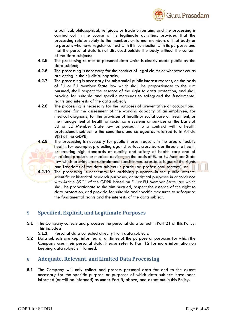

a political, philosophical, religious, or trade union aim, and the processing is carried out in the course of its legitimate activities, provided that the processing relates solely to the members or former members of that body or to persons who have regular contact with it in connection with its purposes and that the personal data is not disclosed outside the body without the consent of the data subjects;

- **4.2.5** The processing relates to personal data which is clearly made public by the data subject;
- **4.2.6** The processing is necessary for the conduct of legal claims or whenever courts are acting in their judicial capacity;
- **4.2.7** The processing is necessary for substantial public interest reasons, on the basis of EU or EU Member State law which shall be proportionate to the aim pursued, shall respect the essence of the right to data protection, and shall provide for suitable and specific measures to safeguard the fundamental rights and interests of the data subject;
- **4.2.8** The processing is necessary for the purposes of preventative or occupational medicine, for the assessment of the working capacity of an employee, for medical diagnosis, for the provision of health or social care or treatment, or the management of health or social care systems or services on the basis of EU or EU Member State law or pursuant to a contract with a health professional, subject to the conditions and safeguards referred to in Article 9(3) of the GDPR;
- **4.2.9** The processing is necessary for public interest reasons in the area of public health, for example, protecting against serious cross-border threats to health or ensuring high standards of quality and safety of health care and of medicinal products or medical devices, on the basis of EU or EU Member State law which provides for suitable and specific measures to safeguard the rights and freedoms of the data subject (in particular, professional secrecy); or
- **4.2.10** The processing is necessary for archiving purposes in the public interest, scientific or historical research purposes, or statistical purposes in accordance with Article 89(1) of the GDPR based on EU or EU Member State law which shall be proportionate to the aim pursued, respect the essence of the right to data protection, and provide for suitable and specific measures to safeguard the fundamental rights and the interests of the data subject.

### **5 Specified, Explicit, and Legitimate Purposes**

- **5.1** The Company collects and processes the personal data set out in Part 21 of this Policy. This includes:
	- **5.1.1** Personal data collected directly from data subjects.
- **5.2** Data subjects are kept informed at all times of the purpose or purposes for which the Company uses their personal data. Please refer to Part 12 for more information on keeping data subjects informed.

### **6 Adequate, Relevant, and Limited Data Processing**

**6.1** The Company will only collect and process personal data for and to the extent necessary for the specific purpose or purposes of which data subjects have been informed (or will be informed) as under Part 5, above, and as set out in this Policy.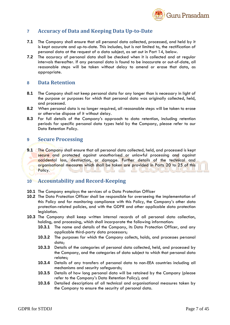

### **7 Accuracy of Data and Keeping Data Up-to-Date**

- **7.1** The Company shall ensure that all personal data collected, processed, and held by it is kept accurate and up-to-date. This includes, but is not limited to, the rectification of personal data at the request of a data subject, as set out in Part 14, below.
- **7.2** The accuracy of personal data shall be checked when it is collected and at regular intervals thereafter. If any personal data is found to be inaccurate or out-of-date, all reasonable steps will be taken without delay to amend or erase that data, as appropriate.

### **8 Data Retention**

- **8.1** The Company shall not keep personal data for any longer than is necessary in light of the purpose or purposes for which that personal data was originally collected, held, and processed.
- **8.2** When personal data is no longer required, all reasonable steps will be taken to erase or otherwise dispose of it without delay.
- **8.3** For full details of the Company's approach to data retention, including retention periods for specific personal data types held by the Company, please refer to our Data Retention Policy.

### **9 Secure Processing**

**9.1** The Company shall ensure that all personal data collected, held, and processed is kept secure and protected against unauthorised or unlawful processing and against accidental loss, destruction, or damage. Further details of the technical and organisational measures which shall be taken are provided in Parts 20 to 25 of this Policy.

### **10 Accountability and Record-Keeping**

- **10.1** The Company employs the services of a Data Protection Officer
- **10.2** The Data Protection Officer shall be responsible for overseeing the implementation of this Policy and for monitoring compliance with this Policy, the Company's other data protection-related policies, and with the GDPR and other applicable data protection legislation.
- **10.3** The Company shall keep written internal records of all personal data collection, holding, and processing, which shall incorporate the following information:
	- **10.3.1** The name and details of the Company, its Data Protection Officer, and any applicable third-party data processors;
	- **10.3.2** The purposes for which the Company collects, holds, and processes personal data;
	- **10.3.3** Details of the categories of personal data collected, held, and processed by the Company, and the categories of data subject to which that personal data relates;
	- **10.3.4** Details of any transfers of personal data to non-EEA countries including all mechanisms and security safeguards;
	- **10.3.5** Details of how long personal data will be retained by the Company (please refer to the Company's Data Retention Policy); and
	- **10.3.6** Detailed descriptions of all technical and organisational measures taken by the Company to ensure the security of personal data.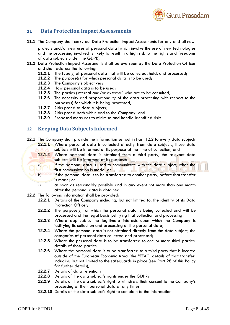

### **11 Data Protection Impact Assessments**

**11.1** The Company shall carry out Data Protection Impact Assessments for any and all new

projects and/or new uses of personal data [which involve the use of new technologies and the processing involved is likely to result in a high risk to the rights and freedoms of data subjects under the GDPR].

- **11.2** Data Protection Impact Assessments shall be overseen by the Data Protection Officer and shall address the following:
	- **11.2.1** The type(s) of personal data that will be collected, held, and processed;
	- **11.2.2** The purpose(s) for which personal data is to be used;
	- **11.2.3** The Company's objectives;
	- **11.2.4** How personal data is to be used;
	- **11.2.5** The parties (internal and/or external) who are to be consulted;
	- **11.2.6** The necessity and proportionality of the data processing with respect to the purpose(s) for which it is being processed;
	- **11.2.7** Risks posed to data subjects;
	- **11.2.8** Risks posed both within and to the Company; and
	- **11.2.9** Proposed measures to minimise and handle identified risks.

### **12 Keeping Data Subjects Informed**

- **12.1** The Company shall provide the information set out in Part 12.2 to every data subject:
	- **12.1.1** Where personal data is collected directly from data subjects, those data subjects will be informed of its purpose at the time of collection; and
	- **12.1.2** Where personal data is obtained from a third party, the relevant data subjects will be informed of its purpose:
	- a) if the personal data is used to communicate with the data subject, when the first communication is made; or
	- b) is the personal data is to be transferred to another party, before that transfer is made; or
	- c) as soon as reasonably possible and in any event not more than one month after the personal data is obtained.
- **12.2** The following information shall be provided:
	- **12.2.1** Details of the Company including, but not limited to, the identity of its Data Protection Officer;
	- **12.2.2** The purpose(s) for which the personal data is being collected and will be processed and the legal basis justifying that collection and processing;
	- **12.2.3** Where applicable, the legitimate interests upon which the Company is justifying its collection and processing of the personal data;
	- **12.2.4** Where the personal data is not obtained directly from the data subject, the categories of personal data collected and processed;
	- **12.2.5** Where the personal data is to be transferred to one or more third parties, details of those parties;
	- **12.2.6** Where the personal data is to be transferred to a third party that is located outside of the European Economic Area (the "EEA"), details of that transfer, including but not limited to the safeguards in place (see Part 28 of this Policy for further details);
	- **12.2.7** Details of data retention;
	- **12.2.8** Details of the data subject's rights under the GDPR;
	- **12.2.9** Details of the data subject's right to withdraw their consent to the Company's processing of their personal data at any time;
	- **12.2.10** Details of the data subject's right to complain to the Information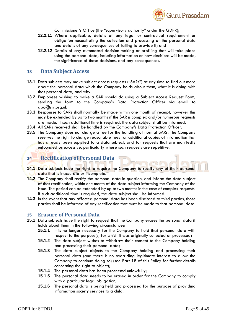

Commissioner's Office (the "supervisory authority" under the GDPR);

- **12.2.11** Where applicable, details of any legal or contractual requirement or obligation necessitating the collection and processing of the personal data and details of any consequences of failing to provide it; and
- **12.2.12** Details of any automated decision-making or profiling that will take place using the personal data, including information on how decisions will be made, the significance of those decisions, and any consequences.

### **13 Data Subject Access**

- **13.1** Data subjects may make subject access requests ("SARs") at any time to find out more about the personal data which the Company holds about them, what it is doing with that personal data, and why.
- **13.2** Employees wishing to make a SAR should do using a Subject Access Request Form, sending the form to the Company's Data Protection Officer via email to [dpo@siv.org.uk](mailto:dpo@siv.org.uk)
- **13.3** Responses to SARs shall normally be made within one month of receipt, however this may be extended by up to two months if the SAR is complex and/or numerous requests are made. If such additional time is required, the data subject shall be informed.
- **13.4** All SARs received shall be handled by the Company's Data Protection Officer.
- **13.5** The Company does not charge a fee for the handling of normal SARs. The Company reserves the right to charge reasonable fees for additional copies of information that has already been supplied to a data subject, and for requests that are manifestly unfounded or excessive, particularly where such requests are repetitive.

### **14 Rectification of Personal Data**

- 14.1 Data subjects have the right to require the Company to rectify any of their personal data that is inaccurate or incomplete.
- **14.2** The Company shall rectify the personal data in question, and inform the data subject of that rectification, within one month of the data subject informing the Company of the issue. The period can be extended by up to two months in the case of complex requests. If such additional time is required, the data subject shall be informed.
- **14.3** In the event that any affected personal data has been disclosed to third parties, those parties shall be informed of any rectification that must be made to that personal data.

#### **15 Erasure of Personal Data**

- **15.1** Data subjects have the right to request that the Company erases the personal data it holds about them in the following circumstances:
	- **15.1.1** It is no longer necessary for the Company to hold that personal data with respect to the purpose(s) for which it was originally collected or processed;
	- **15.1.2** The data subject wishes to withdraw their consent to the Company holding and processing their personal data;
	- **15.1.3** The data subject objects to the Company holding and processing their personal data (and there is no overriding legitimate interest to allow the Company to continue doing so) (see Part 18 of this Policy for further details concerning the right to object);
	- **15.1.4** The personal data has been processed unlawfully;
	- **15.1.5** The personal data needs to be erased in order for the Company to comply with a particular legal obligation;
	- **15.1.6** The personal data is being held and processed for the purpose of providing information society services to a child.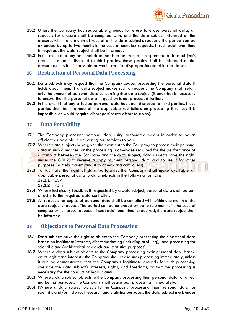

- **15.2** Unless the Company has reasonable grounds to refuse to erase personal data, all requests for erasure shall be complied with, and the data subject informed of the erasure, within one month of receipt of the data subject's request. The period can be extended by up to two months in the case of complex requests. If such additional time is required, the data subject shall be informed.
- **15.3** In the event that any personal data that is to be erased in response to a data subject's request has been disclosed to third parties, those parties shall be informed of the erasure (unless it is impossible or would require disproportionate effort to do so).

### **16 Restriction of Personal Data Processing**

- **16.1** Data subjects may request that the Company ceases processing the personal data it holds about them. If a data subject makes such a request, the Company shall retain only the amount of personal data concerning that data subject (if any) that is necessary to ensure that the personal data in question is not processed further.
- **16.2** In the event that any affected personal data has been disclosed to third parties, those parties shall be informed of the applicable restrictions on processing it (unless it is impossible or would require disproportionate effort to do so).

### **17 Data Portability**

- **17.1** The Company processes personal data using automated means in order to be as efficient as possible in delivering our services to you.
- **17.2** Where data subjects have given their consent to the Company to process their personal data in such a manner, or the processing is otherwise required for the performance of a contract between the Company and the data subject, data subjects have the right, under the GDPR, to receive a copy of their personal data and to use it for other purposes (namely transmitting it to other data controllers).
- **17.3** To facilitate the right of data portability, the Company shall make available all applicable personal data to data subjects in the following formats: **17.3.1** CSV;
	- **17.3.2** PDF;
- **17.4** Where technically feasible, if requested by a data subject, personal data shall be sent directly to the required data controller.
- **17.5** All requests for copies of personal data shall be complied with within one month of the data subject's request. The period can be extended by up to two months in the case of complex or numerous requests. If such additional time is required, the data subject shall be informed.

### **18 Objections to Personal Data Processing**

- **18.1** Data subjects have the right to object to the Company processing their personal data based on legitimate interests, direct marketing (including profiling), [and processing for scientific and/or historical research and statistics purposes].
- **18.2** Where a data subject objects to the Company processing their personal data based on its legitimate interests, the Company shall cease such processing immediately, unless it can be demonstrated that the Company's legitimate grounds for such processing override the data subject's interests, rights, and freedoms, or that the processing is necessary for the conduct of legal claims.
- **18.3** Where a data subject objects to the Company processing their personal data for direct marketing purposes, the Company shall cease such processing immediately.
- **18.4** [Where a data subject objects to the Company processing their personal data for scientific and/or historical research and statistics purposes, the data subject must, under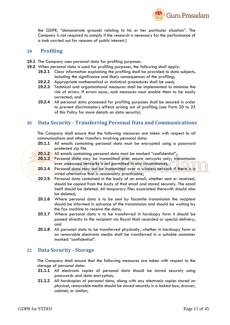

the GDPR, "demonstrate grounds relating to his or her particular situation". The Company is not required to comply if the research is necessary for the performance of a task carried out for reasons of public interest.]

#### **19 Profiling**

- **19.1** The Company uses personal data for profiling purposes.
- **19.2** When personal data is used for profiling purposes, the following shall apply:
	- **19.2.1** Clear information explaining the profiling shall be provided to data subjects, including the significance and likely consequences of the profiling;
	- **19.2.2** Appropriate mathematical or statistical procedures shall be used;
	- **19.2.3** Technical and organisational measures shall be implemented to minimise the risk of errors. If errors occur, such measures must enable them to be easily corrected; and
	- **19.2.4** All personal data processed for profiling purposes shall be secured in order to prevent discriminatory effects arising out of profiling (see Parts 20 to 25 of this Policy for more details on data security).

### **20 Data Security - Transferring Personal Data and Communications**

The Company shall ensure that the following measures are taken with respect to all communications and other transfers involving personal data:

- **20.1.1** All emails containing personal data must be encrypted using a password protected zip file.
- **20.1.2** All emails containing personal data must be marked "confidential";
- **20.1.3** Personal data may be transmitted over secure networks only; transmission over unsecured networks is not permitted in any circumstances;
- **20.1.4** Personal data may not be transmitted over a wireless network if there is a **Exercise** alternative that is reasonably practicable;
- **20.1.5** Personal data contained in the body of an email, whether sent or received, should be copied from the body of that email and stored securely. The email itself should be deleted. All temporary files associated therewith should also be deleted;
- **20.1.6** Where personal data is to be sent by facsimile transmission the recipient should be informed in advance of the transmission and should be waiting by the fax machine to receive the data;
- **20.1.7** Where personal data is to be transferred in hardcopy form it should be passed directly to the recipient via Royal Mail recorded or special delivery; and
- **20.1.8** All personal data to be transferred physically, whether in hardcopy form or on removable electronic media shall be transferred in a suitable container marked "confidential".

#### **21 Data Security - Storage**

The Company shall ensure that the following measures are taken with respect to the storage of personal data:

- **21.1.1** All electronic copies of personal data should be stored securely using passwords and data encryption;
- **21.1.2** All hardcopies of personal data, along with any electronic copies stored on physical, removable media should be stored securely in a locked box, drawer, cabinet, or similar;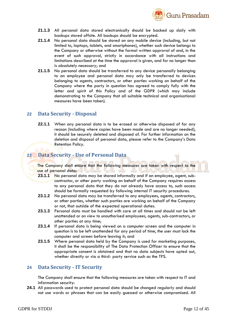

- **21.1.3** All personal data stored electronically should be backed up daily with backups stored offsite. All backups should be encrypted.
- **21.1.4** No personal data should be stored on any mobile device (including, but not limited to, laptops, tablets, and smartphones), whether such device belongs to the Company or otherwise without the formal written approval of and, in the event of such approval, strictly in accordance with all instructions and limitations described at the time the approval is given, and for no longer than is absolutely necessary; and
- **21.1.5** No personal data should be transferred to any device personally belonging to an employee and personal data may only be transferred to devices belonging to agents, contractors, or other parties working on behalf of the Company where the party in question has agreed to comply fully with the letter and spirit of this Policy and of the GDPR (which may include demonstrating to the Company that all suitable technical and organisational measures have been taken).

#### **22 Data Security - Disposal**

**22.1.1** When any personal data is to be erased or otherwise disposed of for any reason (including where copies have been made and are no longer needed), it should be securely deleted and disposed of. For further information on the deletion and disposal of personal data, please refer to the Company's Data Retention Policy.

### **23 Data Security - Use of Personal Data**

The Company shall ensure that the following measures are taken with respect to the use of personal data:

- **23.1.1** No personal data may be shared informally and if an employee, agent, subcontractor, or other party working on behalf of the Company requires access to any personal data that they do not already have access to, such access should be formally requested by following internal IT security procedures.
- **23.1.2** No personal data may be transferred to any employees, agents, contractors, or other parties, whether such parties are working on behalf of the Company or not, that outside of the expected operational duties.
- **23.1.3** Personal data must be handled with care at all times and should not be left unattended or on view to unauthorised employees, agents, sub-contractors, or other parties at any time;
- **23.1.4** If personal data is being viewed on a computer screen and the computer in question is to be left unattended for any period of time, the user must lock the computer and screen before leaving it; and
- **23.1.5** Where personal data held by the Company is used for marketing purposes, it shall be the responsibility of The Data Protection Officer to ensure that the appropriate consent is obtained and that no data subjects have opted out, whether directly or via a third- party service such as the TPS.

#### **24 Data Security - IT Security**

The Company shall ensure that the following measures are taken with respect to IT and information security:

**24.1** All passwords used to protect personal data should be changed regularly and should not use words or phrases that can be easily guessed or otherwise compromised. All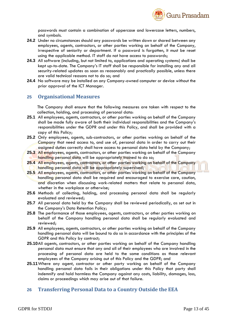

passwords must contain a combination of uppercase and lowercase letters, numbers, and symbols.

- **24.2** Under no circumstances should any passwords be written down or shared between any employees, agents, contractors, or other parties working on behalf of the Company, irrespective of seniority or department. If a password is forgotten, it must be reset using the applicable method. IT staff do not have access to passwords;
- **24.3** All software (including, but not limited to, applications and operating systems) shall be kept up-to-date. The Company's IT staff shall be responsible for installing any and all security-related updates as soon as reasonably and practically possible, unless there are valid technical reasons not to do so; and
- **24.4** No software may be installed on any Company-owned computer or device without the prior approval of the ICT Manager.

#### **25 Organisational Measures**

The Company shall ensure that the following measures are taken with respect to the collection, holding, and processing of personal data:

- **25.1** All employees, agents, contractors, or other parties working on behalf of the Company shall be made fully aware of both their individual responsibilities and the Company's responsibilities under the GDPR and under this Policy, and shall be provided with a copy of this Policy;
- **25.2** Only employees, agents, sub-contractors, or other parties working on behalf of the Company that need access to, and use of, personal data in order to carry out their assigned duties correctly shall have access to personal data held by the Company;
- **25.3** All employees, agents, contractors, or other parties working on behalf of the Company handling personal data will be appropriately trained to do so;
- **25.4** All employees, agents, contractors, or other parties working on behalf of the Company handling personal data will be appropriately supervised;
- **25.5** All employees, agents, contractors, or other parties working on behalf of the Company handling personal data shall be required and encouraged to exercise care, caution, and discretion when discussing work-related matters that relate to personal data, whether in the workplace or otherwise;
- **25.6** Methods of collecting, holding, and processing personal data shall be regularly evaluated and reviewed;
- **25.7** All personal data held by the Company shall be reviewed periodically, as set out in the Company's Data Retention Policy;
- **25.8** The performance of those employees, agents, contractors, or other parties working on behalf of the Company handling personal data shall be regularly evaluated and reviewed;
- **25.9** All employees, agents, contractors, or other parties working on behalf of the Company handling personal data will be bound to do so in accordance with the principles of the GDPR and this Policy by contract;
- **25.10**All agents, contractors, or other parties working on behalf of the Company handling personal data must ensure that any and all of their employees who are involved in the processing of personal data are held to the same conditions as those relevant employees of the Company arising out of this Policy and the GDPR; and
- **25.11**Where any agent, contractor or other party working on behalf of the Company handling personal data fails in their obligations under this Policy that party shall indemnify and hold harmless the Company against any costs, liability, damages, loss, claims or proceedings which may arise out of that failure.

### **26 Transferring Personal Data to a Country Outside the EEA**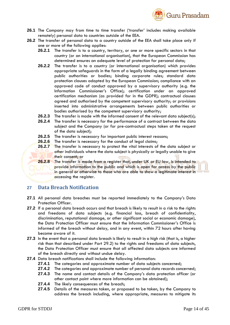

- **26.1** The Company may from time to time transfer ('transfer' includes making available remotely) personal data to countries outside of the EEA.
- **26.2** The transfer of personal data to a country outside of the EEA shall take place only if one or more of the following applies:
	- **26.2.1** The transfer is to a country, territory, or one or more specific sectors in that country (or an international organisation), that the European Commission has determined ensures an adequate level of protection for personal data;
	- **26.2.2** The transfer is to a country (or international organisation) which provides appropriate safeguards in the form of a legally binding agreement between public authorities or bodies; binding corporate rules; standard data protection clauses adopted by the European Commission; compliance with an approved code of conduct approved by a supervisory authority (e.g. the Information Commissioner's Office); certification under an approved certification mechanism (as provided for in the GDPR); contractual clauses agreed and authorised by the competent supervisory authority; or provisions inserted into administrative arrangements between public authorities or bodies authorised by the competent supervisory authority;
	- **26.2.3** The transfer is made with the informed consent of the relevant data subject(s);
	- **26.2.4** The transfer is necessary for the performance of a contract between the data subject and the Company (or for pre-contractual steps taken at the request of the data subject);
	- **26.2.5** The transfer is necessary for important public interest reasons;
	- **26.2.6** The transfer is necessary for the conduct of legal claims;
	- **26.2.7** The transfer is necessary to protect the vital interests of the data subject or other individuals where the data subject is physically or legally unable to give their consent; or

**26.2.8** The transfer is made from a register that, under UK or EU law, is intended to provide information to the public and which is open for access by the public in general or otherwise to those who are able to show a legitimate interest in accessing the register.

#### **27 Data Breach Notification**

- **27.1** All personal data breaches must be reported immediately to the Company's Data Protection Officer.
- **27.2** If a personal data breach occurs and that breach is likely to result in a risk to the rights and freedoms of data subjects (e.g. financial loss, breach of confidentiality, discrimination, reputational damage, or other significant social or economic damage), the Data Protection Officer must ensure that the Information Commissioner's Office is informed of the breach without delay, and in any event, within 72 hours after having become aware of it.
- **27.3** In the event that a personal data breach is likely to result in a high risk (that is, a higher risk than that described under Part 29.2) to the rights and freedoms of data subjects, the Data Protection Officer must ensure that all affected data subjects are informed of the breach directly and without undue delay.
- **27.4** Data breach notifications shall include the following information:
	- **27.4.1** The categories and approximate number of data subjects concerned;
	- **27.4.2** The categories and approximate number of personal data records concerned;
	- **27.4.3** The name and contact details of the Company's data protection officer (or other contact point where more information can be obtained);
	- **27.4.4** The likely consequences of the breach;
	- **27.4.5** Details of the measures taken, or proposed to be taken, by the Company to address the breach including, where appropriate, measures to mitigate its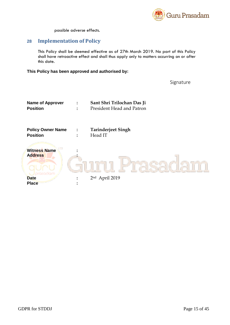

possible adverse effects.

### **28 Implementation of Policy**

This Policy shall be deemed effective as of 27th March 2019. No part of this Policy shall have retroactive effect and shall thus apply only to matters occurring on or after this date.

**This Policy has been approved and authorised by:**

Signature

| <b>Name of Approver</b>               |                | Sant Shri Trilochan Das Ji |
|---------------------------------------|----------------|----------------------------|
| <b>Position</b>                       | ٠              | President Head and Patron  |
|                                       |                |                            |
| <b>Policy Owner Name</b>              | ÷              | <b>Tarinderjeet Singh</b>  |
| <b>Position</b>                       | ٠              | Head IT                    |
|                                       |                |                            |
| <b>Witness Name</b><br><b>Address</b> |                |                            |
|                                       |                |                            |
|                                       |                |                            |
| omerikment<br><b>Date</b>             |                | 2nd April 2019             |
| <b>Place</b>                          | $\blacksquare$ |                            |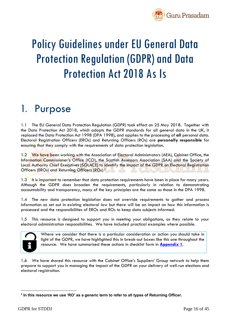

## Policy Guidelines under EU General Data Protection Regulation (GDPR) and Data Protection Act 2018 As Is

## 1. Purpose

1.1 The EU General Data Protection Regulation (GDPR) took effect on 25 May 2018. Together with the Data Protection Act 2018, which adopts the GDPR standards for all general data in the UK, it replaced the Data Protection Act 1998 (DPA 1998), and applies to the processing of **all** personal data. Electoral Registration Officers (EROs) and Returning Officers (ROs) are **personally responsible** for ensuring that they comply with the requirements of data protection legislation.

1.2 We have been working with the Association of Electoral Administrators (AEA), Cabinet Office, the Information Commissioner's Office (ICO), the Scottish Assessors Association (SAA) and the Society of Local Authority Chief Executives (SOLACE) to identify the impact of the GDPR on Electoral Registration Officers (EROs) and Returning Officers (ROs).<sup>1</sup>

1.3 It is important to remember that data protection requirements have been in place for many years. Although the GDPR does broaden the requirements, particularly in relation to demonstrating accountability and transparency, many of the key principles are the same as those in the DPA 1998.

1.4 The new data protection legislation does not override requirements to gather and process information as set out in existing electoral law but there will be an impact on how this information is processed and the responsibilities of EROs and ROs to keep data subjects informed.

1.5 This resource is designed to support you in meeting your obligations, as they relate to your electoral administration responsibilities. We have included practical examples where possible.



<u>.</u>

Where we consider that there is a particular consideration or action you should take in light of the GDPR, we have highlighted this in break-out boxes like this one throughout the resource. We have summarised these actions in checklist form in **[Appendix 1](#page-33-0)**.

1.6 We have shared this resource with the Cabinet Office's Suppliers' Group network to help them prepare to support you in managing the impact of the GDPR on your delivery of well-run elections and electoral registration.

**<sup>1</sup> In this resource we use 'RO' as a generic term to refer to all types of Returning Officer.**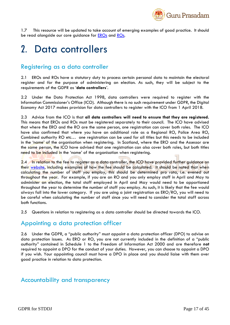

1.7 This resource will be updated to take account of emerging examples of good practice. It should be read alongside our core guidance for **EROs** and [ROs.](http://www.electoralcommission.org.uk/i-am-a/electoral-administrator/)

## <span id="page-16-0"></span>2. Data controllers

### Registering as a data controller

2.1 EROs and ROs have a statutory duty to process certain personal data to maintain the electoral register and for the purpose of administering an election. As such, they will be subject to the requirements of the GDPR as '**data controllers**'.

2.2 Under the Data Protection Act 1998, data controllers were required to register with the Information Commissioner's Office (ICO). Although there is no such requirement under GDPR, the Digital Economy Act 2017 makes provision for data controllers to register with the ICO from 1 April 2018.

2.3 Advice from the ICO is that **all data controllers will need to ensure that they are registered.**  This means that EROs and ROs must be registered separately to their council. The ICO have advised that where the ERO and the RO are the same person, one registration can cover both roles. The ICO have also confirmed that where you have an additional role as a Regional RO, Police Area RO, Combined authority RO etc… one registration can be used for all titles but this needs to be included in the 'name' of the organisation when registering. In Scotland, where the ERO and the Assessor are the same person, the ICO have advised that one registration can also cover both roles, but both titles need to be included in the 'name' of the organisation when registering.

2.4 In relation to the fee to register as a data controller, the ICO have provided further guidance on their [website,](http://ico.org.uk/media/for-organisations/documents/2258205/dp-fee-guide-for-controllers-20180221.pdf) including examples of how the fee should be calculated. It should be noted that when calculating the number of staff you employ, this should be determined pro rata, i.e. evened out throughout the year. For example, if you are an RO and you only employ staff in April and May to administer an election, the total staff employed in April and May would need to be apportioned throughout the year to determine the number of staff you employ. As such, it is likely that the fee would always fall into the lower category. If you are using a joint registration as ERO/RO, you will need to be careful when calculating the number of staff since you will need to consider the total staff across both functions.

2.5 Questions in relation to registering as a data controller should be directed towards the ICO.

### Appointing a data protection officer

2.6 Under the GDPR, a "public authority" must appoint a data protection officer (DPO) to advise on data protection issues. As ERO or RO, you are not currently included in the definition of a "public authority" contained in Schedule 1 to the Freedom of Information Act 2000 and are therefore **not** required to appoint a DPO for the conduct of your duties. However, you can choose to appoint a DPO if you wish. Your appointing council must have a DPO in place and you should liaise with them over good practice in relation to data protection.

### <span id="page-16-1"></span>Accountability and transparency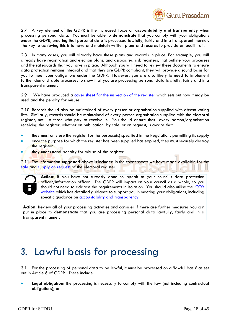

2.7 A key element of the GDPR is the increased focus on **accountability and transparency** when processing personal data. You must be able to **demonstrate** that you comply with your obligations under the GDPR, ensuring that personal data is processed lawfully, fairly and in a transparent manner. The key to achieving this is to have and maintain written plans and records to provide an audit trail.

2.8 In many cases, you will already have these plans and records in place. For example, you will already have registration and election plans, and associated risk registers, that outline your processes and the safeguards that you have in place. Although you will need to review these documents to ensure data protection remains integral and that they are GDPR compliant, they will provide a sound basis for you to meet your obligations under the GDPR. However, you are also likely to need to implement further demonstrable processes to show that you are processing personal data lawfully, fairly and in a transparent manner.

2.9 We have produced a [cover sheet for the inspection of the register](http://www.electoralcommission.org.uk/__data/assets/word_doc/0004/79717/Front-Cover-for-Full-Register-of-Electors-to-be-inspected-WEB.doc) which sets out how it may be used and the penalty for misuse.

2.10 Records should also be maintained of every person or organisation supplied with absent voting lists. Similarly, records should be maintained of every person organisation supplied with the electoral register, not just those who pay to receive it. You should ensure that every person/organisation receiving the register, whether on publication, by sale, or on request, is aware that:

- they must only use the register for the purpose(s) specified in the Regulations permitting its supply
- once the purpose for which the register has been supplied has expired, they must securely destroy the register
- they understand penalty for misuse of the register

2.11 The information suggested above is included in the cover sheets we have made available for the [sale](http://www.electoralcommission.org.uk/__data/assets/word_doc/0009/79713/Cover-sheet-for-copies-of-the-full-register-for-sale.doc) and [supply on request](http://www.electoralcommission.org.uk/__data/assets/word_doc/0011/79715/Front-cover-for-the-full-register-supplied-free-of-charge-on-request-WEB.doc) of the electoral register.



**Action:** If you have not already done so, speak to your council's data protection officer/information officer. The GDPR will impact on your council as a whole, so you should not need to address the requirements in isolation. You should also utilise the *[ICO's](http://ico.org.uk/for-organisations/guide-to-the-general-data-protection-regulation-gdpr/)* [website](http://ico.org.uk/for-organisations/guide-to-the-general-data-protection-regulation-gdpr/) which has detailed guidance to support you in meeting your obligations, including specific guidance on [accountability and transparency.](http://ico.org.uk/for-organisations/guide-to-the-general-data-protection-regulation-gdpr/documentation/)

**Action:** Review all of your processing activities and consider if there are further measures you can put in place to **demonstrate** that you are processing personal data lawfully, fairly and in a transparent manner.

## <span id="page-17-0"></span>3. Lawful basis for processing

3.1 For the processing of personal data to be lawful, it must be processed on a 'lawful basis' as set out in Article 6 of GDPR. These include:

• **Legal obligation**: the processing is necessary to comply with the law (not including contractual obligations); or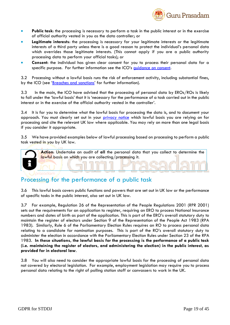

- **Public task**: the processing is necessary to perform a task in the public interest or in the exercise of official authority vested in you as the data controller; or
- **Legitimate interests**: the processing is necessary for your legitimate interests or the legitimate interests of a third party unless there is a good reason to protect the individual's personal data which overrides those legitimate interests. (This cannot apply if you are a public authority processing data to perform your official tasks); or
- **Consent**: the individual has given clear consent for you to process their personal data for a specific purpose. For further information see the ICO's quidance on consent.

3.2 Processing without a lawful basis runs the risk of enforcement activity, including substantial fines, by the ICO (see '[Breaches and sanctions](#page-30-0)' for further information).

3.3 In the main, the ICO have advised that the processing of personal data by EROs/ROs is likely to fall under the 'lawful basis' that it is 'necessary for the performance of a task carried out in the public interest or in the exercise of the official authority vested in the controller'.

3.4 It is for you to determine what the lawful basis for processing the data is, and to document your approach. You must clearly set out in your [privacy notice](#page-20-0) which lawful basis you are relying on for processing and cite the relevant UK law where applicable. You may rely on more than one legal basis if you consider it appropriate.

3.5 We have provided examples below of lawful processing based on processing to perform a public task vested in you by UK law.



**Action**: Undertake an audit of **all** the personal data that you collect to determine the lawful basis on which you are collecting/processing it.

### <span id="page-18-1"></span>Processing for the performance of a public task

3.6 This lawful basis covers public functions and powers that are set out in UK law or the performance of specific tasks in the public interest, also set out in UK law.

<span id="page-18-0"></span>3.7 For example, Regulation 26 of the Representation of the People Regulations 2001 (RPR 2001) sets out the requirements for an application to register, requiring an ERO to process National Insurance numbers and dates of birth as part of the application. This is part of the ERO's overall statutory duty to maintain the register of electors under Section 9 of the Representation of the People Act 1983 (RPA 1983). Similarly, Rule 6 of the Parliamentary Election Rules requires an RO to process personal data relating to a candidate for nomination purposes. This is part of the RO's overall statutory duty to administer the election in accordance with the Parliamentary Election Rules under Section 23 of the RPA 1983. **In these situations, the lawful basis for the processing is the performance of a public task (i.e. maintaining the register of electors, and administering the election) in the public interest, as provided for in electoral law**.

3.8 You will also need to consider the appropriate lawful basis for the processing of personal data not covered by electoral legislation. For example, employment legislation may require you to process personal data relating to the right of polling station staff or canvassers to work in the UK.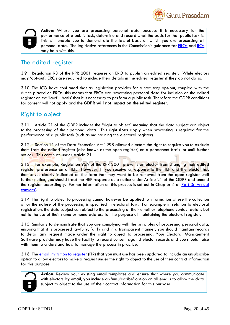



**Action**: Where you are processing personal data because it is necessary for the performance of a public task, determine and record what the basis for that public task is. This will enable you to demonstrate the lawful basis on which you are processing all personal data. The legislative references in the Commission's guidance for [EROs](http://www.electoralcommission.org.uk/i-am-a/electoral-administrator/running-electoral-registration/) and [ROs](http://www.electoralcommission.org.uk/i-am-a/electoral-administrator/) may help with this.

### The edited register

3.9 Regulation 93 of the RPR 2001 requires an ERO to publish an edited register. While electors may 'opt-out', EROs are required to include their details in the edited register if they do not do so.

3.10 The ICO have confirmed that as legislation provides for a statutory opt-out, coupled with the duties placed on EROs, this means that EROs are processing personal data for inclusion on the edited register on the 'lawful basis' that it is necessary to perform a public task. Therefore the GDPR conditions for consent will not apply and the **GDPR will not impact on the edited register**.

### <span id="page-19-1"></span>Right to object

3.11 Article 21 of the GDPR includes the "right to object" meaning that the data subject can object to the processing of their personal data. This right **does** apply when processing is required for the performance of a public task (such as maintaining the electoral register).

3.12 Section 11 of the Data Protection Act 1998 allowed electors the right to require you to exclude them from the edited register (also known as the open register) on a permanent basis (or until further notice). This continues under Article 21.

3.13 For example, Regulation 93A of the RPR 2001 prevents an elector from changing their edited register preference on a HEF. However, if you receive a response to the HEF and the elector has themselves clearly indicated on the form that they want to be removed from the open register until further notice, you should treat the HEF response as a notice under Article 21 of the GDPR and amend the register accordingly. Further information on this process is set out in Chapter 4 of Part 3: 'Annual [canvass'](http://www.electoralcommission.org.uk/__data/assets/pdf_file/0009/162576/Part-3-The-transition-to-IER-in-2014-15.pdf).

3.14 The right to object to processing cannot however be applied to information where the collection of or the nature of the processing is specified in electoral law. For example in relation to electoral registration, the data subject can object to the processing of their email or telephone contact details but not to the use of their name or home address for the purpose of maintaining the electoral register.

3.15 Similarly to demonstrate that you are complying with the principles of processing personal data, ensuring that it is processed lawfully, fairly and in a transparent manner, you should maintain records to detail any request made under the right to object to processing. Your Electoral Management Software provider may have the facility to record consent against elector records and you should liaise with them to understand how to manage the process in practice.

<span id="page-19-0"></span>3.16 The [email invitation to register](http://www.electoralcommission.org.uk/i-am-a/electoral-administrator/running-electoral-registration/registration-forms-and-letters) (ITR) that you must use has been updated to include an unsubscribe option to allow electors to make a request under the right to object to the use of their contact information for this purpose.



**Action**: Review your existing email templates and ensure that where you communicate with electors by email, you include an 'unsubscribe' option on all emails to allow the data subject to object to the use of their contact information for this purpose.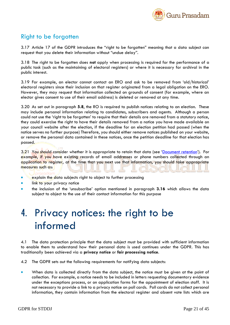

### <span id="page-20-1"></span>Right to be forgotten

3.17 Article 17 of the GDPR introduces the "right to be forgotten" meaning that a data subject can request that you delete their information without "undue delay".

3.18 The right to be forgotten does **not** apply when processing is required for the performance of a public task (such as the maintaining of electoral registers) or where it is necessary for archival in the public interest.

3.19 For example, an elector cannot contact an ERO and ask to be removed from 'old/historical' electoral registers since their inclusion on that register originated from a legal obligation on the ERO. However, they may request that information collected on grounds of consent (for example, where an elector gives consent to use of their email address) is deleted or removed at any time.

3.20 As set out in paragraph **[5.8](#page-23-0)**, the RO is required to publish notices relating to an election. These may include personal information relating to candidates, subscribers and agents. Although a person could not use the 'right to be forgotten' to require that their details are removed from a statutory notice, they could exercise the right to have their details removed from a notice you have made available on your council website after the election, if the deadline for an election petition had passed (when the notice serves no further purpose) Therefore, you should either remove notices published on your website, or remove the personal data contained in these notices, once the petition deadline for that election has passed.

3.21 You should consider whether it is appropriate to retain that data (see '[Document retention](#page-22-0)'). For example, if you have existing records of email addresses or phone numbers collected through an application to register, at the time that you next use that information, you should take appropriate measures such as:

- explain the data subjects right to object to further processing
- link to your privacy notice
- the inclusion of the 'unsubscribe' option mentioned in paragraph **[3.16](#page-19-0)** which allows the data subject to object to the use of their contact information for this purpose

## <span id="page-20-0"></span>4. Privacy notices: the right to be informed

4.1 The data protection principle that the data subject must be provided with sufficient information to enable them to understand how their personal data is used continues under the GDPR. This has traditionally been achieved via a **privacy notice** or **fair processing notice**.

4.2 The GDPR sets out the following requirements for notifying data subjects:

• When data is collected directly from the data subject, the notice must be given at the point of collection. For example, a notice needs to be included in letters requesting documentary evidence under the exceptions process, or on application forms for the appointment of election staff. It is not necessary to provide a link to a privacy notice on poll cards. Poll cards do not collect personal information, they contain information from the electoral register and absent vote lists which are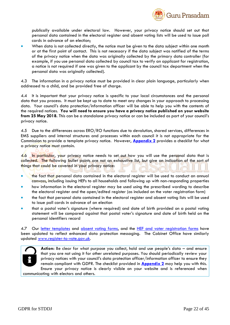

publically available under electoral law. However, your privacy notice should set out that personal data contained in the electoral register and absent voting lists will be used to issue poll cards in advance of an election;

When data is not collected directly, the notice must be given to the data subject within one month or at the first point of contact. This is not necessary if the data subject was notified of the terms of the privacy notice when the data was originally collected by the primary data controller (for example, if you use personal data collected by council tax to verify an applicant for registration, a notice is not required if one was given to the applicant by the council tax department when the personal data was originally collected).

4.3 The information in a privacy notice must be provided in clear plain language, particularly when addressed to a child, and be provided free of charge.

4.4 It is important that your privacy notice is specific to your local circumstances and the personal data that you process. It must be kept up to date to meet any changes in your approach to processing data. Your council's data protection/information officer will be able to help you with the contents of the required notices. **You will need to ensure you have a privacy notice published on your website from 25 May 2018.** This can be a standalone privacy notice or can be included as part of your council's privacy notice.

4.5 Due to the differences across ERO/RO functions due to devolution, shared services, differences in EMS suppliers and internal structures and processes within each council it is not appropriate for the Commission to provide a template privacy notice. However, **[Appendix 2](#page-34-0)** provides a checklist for what a privacy notice must contain.

4.6 In particular, your privacy notice needs to set out how you will use the personal data that is collected. The following bullet points are not an exhaustive list, but give an indication of the sort of things that could be covered in your privacy notice:

- the fact that personal data contained in the electoral register will be used to conduct an annual canvass, including issuing HEFs to all households and following up with non-responding properties
- how information in the electoral register may be used using the prescribed wording to describe the electoral register and the open/edited register (as included on the voter registration form)
- the fact that personal data contained in the electoral register and absent voting lists will be used to issue poll cards in advance of an election
- that a postal voter's signature (where required) and date of birth provided on a postal voting statement will be compared against that postal voter's signature and date of birth held on the personal identifiers record

4.7 Our [letter templates](http://www.electoralcommission.org.uk/i-am-a/electoral-administrator/running-electoral-registration/registration-forms-and-letters) and [absent voting forms,](http://www.yourvotematters.co.uk/how-do-i-vote) and the [HEF and voter registration forms](https://www.electoralcommission.org.uk/i-am-a/electoral-administrator/running-electoral-registration/registration-forms-and-letters) have been updated to reflect enhanced data protection messaging. The Cabinet Office have similarly updated [www.register-to-vote.gov.uk.](http://www.register-to-vote.gov.uk/)



**Action:** Be clear for what purpose you collect, hold and use people's data – and ensure that you are not using it for other unrelated purposes. You should periodically review your privacy notices with your council's data protection officer/information officer to ensure they remain compliant with GDPR. The checklist provided in **[Appendix 2](#page-34-0)** may help you with this. Ensure your privacy notice is clearly visible on your website and is referenced when communicating with electors and others.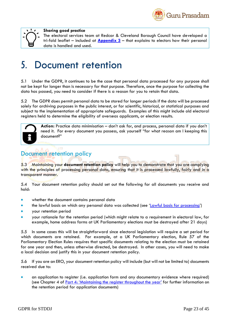

#### **Sharing good practice**

The electoral services team at Redcar & Cleveland Borough Council have developed a tri-fold leaflet – included at **[Appendix 3](#page-35-0)** – that explains to electors how their personal data is handled and used.

## <span id="page-22-0"></span>5. Document retention

5.1 Under the GDPR, it continues to be the case that personal data processed for any purpose shall not be kept for longer than is necessary for that purpose. Therefore, once the purpose for collecting the data has passed, you need to consider if there is a reason for you to retain that data.

5.2 The GDPR does permit personal data to be stored for longer periods if the data will be processed solely for archiving purposes in the public interest, or for scientific, historical, or statistical purposes and subject to the implementation of appropriate safeguards. Examples of this might include old electoral registers held to determine the eligibility of overseas applicants, or election results.



**Action:** Practice data minimisation – don't ask for, and process, personal data if you don't need it. For every document you possess, ask yourself "for what reason am I keeping this document?"

### <span id="page-22-1"></span>Document retention policy

5.3 Maintaining your **document retention policy** will help you to demonstrate that you are complying with the principles of processing personal data, ensuring that it is processed lawfully, fairly and in a transparent manner.

5.4 Your document retention policy should set out the following for all documents you receive and hold:

- whether the document contains personal data
- the lawful basis on which any personal data was collected (see '[Lawful basis for processing](#page-17-0)')
- your retention period
- your rationale for the retention period (which might relate to a requirement in electoral law, for example, home address forms at UK Parliamentary elections must be destroyed after 21 days)

5.5 In some cases this will be straightforward since electoral legislation will require a set period for which documents are retained. For example, at a UK Parliamentary election, Rule 57 of the Parliamentary Election Rules requires that specific documents relating to the election must be retained for one year and then, unless otherwise directed, be destroyed. In other cases, you will need to make a local decision and justify this in your document retention policy.

5.6 If you are an ERO, your document retention policy will include (but will not be limited to) documents received due to:

• an application to register (i.e. application form and any documentary evidence where required) (see Chapter 4 of [Part 4: 'Maintaining the register throughout the year'](http://www.electoralcommission.org.uk/__data/assets/pdf_file/0011/162578/Part-4-Maintaining-the-register-throughout-the-year.pdf) for further information on the retention period for application documents)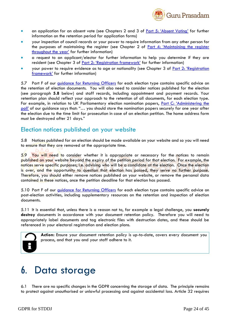

- an application for an absent vote (see Chapters 2 and 3 of [Part 5: 'Absent Voting'](http://www.electoralcommission.org.uk/__data/assets/pdf_file/0004/162580/Part-5-Absent-voting.pdf) for further information on the retention period for application forms)
- your inspection of council records or your power to require information from any other person for the purposes of maintaining the register (see Chapter 2 of  $Part 4$ : 'Maintaining the register [throughout the year'](http://www.electoralcommission.org.uk/__data/assets/pdf_file/0011/162578/Part-4-Maintaining-the-register-throughout-the-year.pdf) for further information)
- a request to an applicant/elector for further information to help you determine if they are resident (see Chapter 3 of [Part 2: 'Registration framework'](http://www.electoralcommission.org.uk/__data/assets/pdf_file/0006/162573/Part-2-Registration-framework.pdf) for further information)
- your power to require evidence as to age or nationality (see Chapter 3 of Part 2: 'Registration [framework'](http://www.electoralcommission.org.uk/__data/assets/pdf_file/0006/162573/Part-2-Registration-framework.pdf) for further information)

5.7 Part F of our [guidance for Returning Officers](http://www.electoralcommission.org.uk/i-am-a/electoral-administrator/) for each election type contains specific advice on the retention of election documents. You will also need to consider notices published for the election (see paragraph **[5.8](#page-23-0)** below) and staff records, including appointment and payment records. Your retention plan should reflect your approach to the retention of all documents, for each election type. For example, in relation to UK Parliamentary election nomination papers, Part C: 'Administering the [poll'](http://www.electoralcommission.org.uk/__data/assets/pdf_file/0005/175379/UKPE-Part-C-Administering-the-poll.pdf) of our guidance says that: "... you should store the nomination papers securely for one year after the election due to the time limit for prosecution in case of an election petition. The home address form must be destroyed after 21 days."

### Election notices published on your website

<span id="page-23-0"></span>5.8 Notices published for an election should be made available on your website and so you will need to ensure that they are removed at the appropriate time.

5.9 You will need to consider whether it is appropriate or necessary for the notices to remain published on your website beyond the expiry of the petition period for that election. For example, the notices serve specific purposes, i.e. advising who will be a candidate at the election. Once the election is over, and the opportunity to question that election has passed, they serve no further purpose. Therefore, you should either remove notices published on your website, or remove the personal data contained in these notices, once the petition deadline for that election has passed.

5.10 Part F of our *guidance for Returning Officers* for each election type contains specific advice on post-election activities, including supplementary resources on the retention and inspection of election documents.

5.11 It is essential that, unless there is a reason not to, for example a legal challenge, you **securely destroy** documents in accordance with your document retention policy. Therefore you will need to appropriately label documents and tag electronic files with destruction dates, and these should be referenced in your electoral registration and election plans.



**Action:** Ensure your document retention policy is up-to-date, covers every document you process, and that you and your staff adhere to it.

## <span id="page-23-1"></span>6. Data storage

6.1 There are no specific changes in the GDPR concerning the storage of data. The principle remains to protect against unauthorised or unlawful processing and against accidental loss. Article 32 requires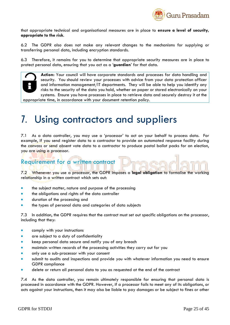

that appropriate technical and organisational measures are in place to **ensure a level of security, appropriate to the risk**.

6.2 The GDPR also does not make any relevant changes to the mechanisms for supplying or transferring personal data, including encryption standards.

6.3 Therefore, it remains for you to determine that appropriate security measures are in place to protect personal data, ensuring that you act as a '**guardian**' for that data.



**Action:** Your council will have corporate standards and processes for data handling and security. You should review your processes with advice from your data protection officer and information management/IT departments. They will be able to help you identify any risks to the security of the data you hold, whether on paper or stored electronically on your systems. Ensure you have processes in place to retrieve data and securely destroy it at the

appropriate time, in accordance with your document retention policy.

## <span id="page-24-2"></span>7. Using contractors and suppliers

7.1 As a data controller, you may use a 'processor' to act on your behalf to process data. For example, if you send register data to a contractor to provide an automated response facility during the canvass or send absent vote data to a contractor to produce postal ballot packs for an election, you are using a processor.

### Requirement for a written contract

<span id="page-24-0"></span>7.2 Whenever you use a processor, the GDPR imposes a **legal obligation** to formalise the working relationship in a written contract which sets out:

- the subject matter, nature and purpose of the processing
- the obligations and rights of the data controller
- duration of the processing and
- the types of personal data and categories of data subjects

<span id="page-24-1"></span>7.3 In addition, the GDPR requires that the contract must set out specific obligations on the processor, including that they:

- comply with your instructions
- are subject to a duty of confidentiality
- keep personal data secure and notify you of any breach
- maintain written records of the processing activities they carry out for you
- only use a sub-processor with your consent
- submit to audits and inspections and provide you with whatever information you need to ensure GDPR compliance
- delete or return all personal data to you as requested at the end of the contract

7.4 As the data controller, you remain ultimately responsible for ensuring that personal data is processed in accordance with the GDPR. However, if a processor fails to meet any of its obligations, or acts against your instructions, then it may also be liable to pay damages or be subject to fines or other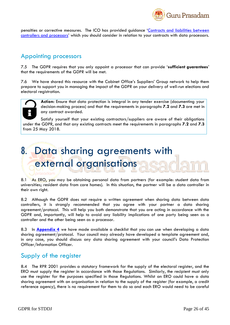

penalties or corrective measures. The ICO has provided guidance 'Contracts and liabilities between [controllers and processors](https://ico.org.uk/about-the-ico/ico-and-stakeholder-consultations/consultation-on-gdpr-guidance-on-contracts-and-liabilities-between-controllers-and-processors/)' which you should consider in relation to your contracts with data processors.

### Appointing processors

7.5 The GDPR requires that you only appoint a processor that can provide '**sufficient guarantees**' that the requirements of the GDPR will be met.

7.6 We have shared this resource with the Cabinet Office's Suppliers' Group network to help them prepare to support you in managing the impact of the GDPR on your delivery of well-run elections and electoral registration.



**Action:** Ensure that data protection is integral in any tender exercise (documenting your decision-making process) and that the requirements in paragraphs **[7.2](#page-24-0)** and **[7.3](#page-24-1)** are met in any contract awarded.

Satisfy yourself that your existing contractors/suppliers are aware of their obligations under the GDPR, and that any existing contracts meet the requirements in paragraphs **[7.2](#page-24-0)** and **[7.3](#page-24-1)** from 25 May 2018.

## <span id="page-25-0"></span>8. Data sharing agreements with external organisations

8.1 As ERO, you may be obtaining personal data from partners (for example: student data from universities; resident data from care homes). In this situation, the partner will be a data controller in their own right.

8.2 Although the GDPR does not require a written agreement when sharing data between data controllers, it is strongly recommended that you agree with your partner a data sharing agreement/protocol. This will help you both demonstrate that you are acting in accordance with the GDPR and, importantly, will help to avoid any liability implications of one party being seen as a controller and the other being seen as a processor.

8.3 In **[Appendix 4](#page-39-0)** we have made available a checklist that you can use when developing a data sharing agreement/protocol. Your council may already have developed a template agreement and, in any case, you should discuss any data sharing agreement with your council's Data Protection Officer/Information Officer.

### Supply of the register

8.4 The RPR 2001 provides a statutory framework for the supply of the electoral register, and the ERO must supply the register in accordance with those Regulations. Similarly, the recipient must only use the register for the purposes specified in those Regulations. Whilst an ERO could have a data sharing agreement with an organisation in relation to the supply of the register (for example, a credit reference agency), there is no requirement for them to do so and each ERO would need to be careful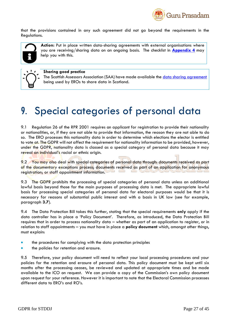

that the provisions contained in any such agreement did not go beyond the requirements in the Regulations.



**Action:** Put in place written data-sharing agreements with external organisations where you are receiving/sharing data on an ongoing basis. The checklist in **[Appendix 4](#page-39-0)** may help you with this.

#### **Sharing good practice**

The Scottish Assessors Association (SAA) have made available the [data sharing agreement](http://www.electoralcommission.org.uk/__data/assets/pdf_file/0009/239589/Sharing-good-practice-Data-sharing-agreement.pdf) being used by EROs to share data in Scotland.

## <span id="page-26-0"></span>9. Special categories of personal data

9.1 Regulation 26 of the RPR 2001 requires an applicant for registration to provide their nationality or nationalities, or, if they are not able to provide that information, the reason they are not able to do so. The ERO processes this nationality data in order to determine which elections the elector is entitled to vote at. The GDPR will not affect the requirement for nationality information to be provided, however, under the GDPR, nationality data is classed as a special category of personal data because it may reveal an individual's racial or ethnic origin.

9.2 You may also deal with special categories of personal data through: documents received as part of the documentary exceptions process; documents received as part of an application for anonymous registration; or staff appointment information.

9.3 The GDPR prohibits the processing of special categories of personal data unless an additional lawful basis beyond those for the main purposes of processing data is met. The appropriate lawful basis for processing special categories of personal data for electoral purposes would be that it is necessary for reasons of substantial public interest and with a basis in UK law (see for example, paragraph **[3.7](#page-18-0)**).

9.4 The Data Protection Bill takes this further, stating that the special requirements **only** apply if the data controller has in place a 'Policy Document'. Therefore, as introduced, the Data Protection Bill requires that in order to process nationality data – whether as part of an application to register, or in relation to staff appointments – you must have in place a **policy document** which, amongst other things, must explain:

- the procedures for complying with the data protection principles
- the policies for retention and erasure.

9.5 Therefore, your policy document will need to reflect your local processing procedures and your policies for the retention and erasure of personal data. This policy document must be kept until six months after the processing ceases, be reviewed and updated at appropriate times and be made available to the ICO on request. We can provide a copy of the Commission's own policy document upon request for your reference. However it is important to note that the Electoral Commission processes different data to ERO's and RO's.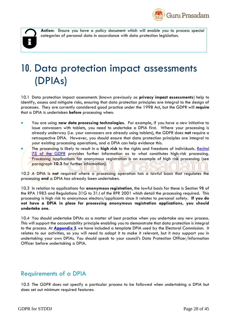



**Action:** Ensure you have a policy document which will enable you to process special categories of personal data in accordance with data protection legislation.

## <span id="page-27-1"></span>10. Data protection impact assessments (DPIAs)

10.1 Data protection impact assessments (known previously as **privacy impact assessments**) help to identify, assess and mitigate risks, ensuring that data protection principles are integral to the design of processes. They are currently considered good practice under the 1998 Act, but the GDPR will **require**  that a DPIA is undertaken **before** processing when:

- You are using **new data processing technologies**. For example, if you have a new initiative to issue canvassers with tablets, you need to undertake a DPIA first. Where your processing is already underway (i.e. your canvassers are already using tablets), the GDPR does **not** require a retrospective DPIA. However, you should ensure that data protection principles are integral to your existing processing operations, and a DPIA can help evidence this.
- The processing is likely to result in a **high risk** to the rights and freedoms of individuals. Recital [75 of the GDPR](http://eur-lex.europa.eu/legal-content/EN/TXT/PDF/?uri=CELEX:32016R0679&from=EN) provides further information as to what constitutes high-risk processing. Processing applications for anonymous registration is an example of high risk processing (see paragraph **[10.3](#page-27-0)** for further information).

10.2 A DPIA is **not** required where a processing operation has a lawful basis that regulates the processing **and** a DPIA has already been undertaken.

<span id="page-27-0"></span>10.3 In relation to applications for **anonymous registration**, the lawful basis for these is Section 9B of the RPA 1983 and Regulations 31G to 31J of the RPR 2001 which detail the processing required. This processing is high risk to anonymous electors/applicants since it relates to personal safety. **If you do not have a DPIA in place for processing anonymous registration applications, you should undertake one**.

10.4 You should undertake DPIAs as a matter of best practice when you undertake *any* new process. This will support the accountability principle enabling you to demonstrate that data protection is integral to the process. At **[Appendix 5](#page-41-0)** we have included a template DPIA used by the Electoral Commission. It relates to our activities, so you will need to adapt it to make it relevant, but it may support you in undertaking your own DPIAs. You should speak to your council's Data Protection Officer/Information Officer before undertaking a DPIA.

### Requirements of a DPIA

10.5 The GDPR does not specify a particular process to be followed when undertaking a DPIA but does set out minimum required features: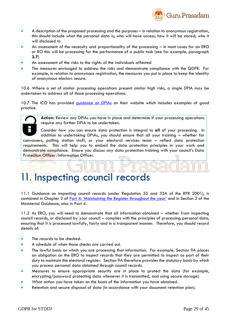

- A description of the proposed processing and the purposes in relation to anonymous registration, this should include what the personal data is; who will have access; how it will be stored; who it will disclosed to
- An assessment of the necessity and proportionality of the processing in most cases for an ERO or RO this will be processing for the performance of a public task (see for example, paragraph **[3.7](#page-18-0)**)
- An assessment of the risks to the rights of the individuals affected
- The measures envisaged to address the risks and demonstrate compliance with the GDPR. For example, in relation to anonymous registration, the measures you put in place to keep the identity of anonymous electors secure.

10.6 Where a set of similar processing operations present similar high risks, a single DPIA may be undertaken to address all of those processing operations.

10.7 The ICO has provided *guidance on DPIAs* on their website which includes examples of good practice.

**Action:** Review any DPIAs you have in place and determine if your processing operations require any further DPIA to be undertaken.

Consider how you can ensure data protection is integral to **all** of your processing. In addition to undertaking DPIAs, you should ensure that all your training – whether for canvassers, polling station staff, or your electoral services team – reflect data protection requirements. This will help you to embed the data protection principles in your work and demonstrate compliance. Ensure you discuss any data protection training with your council's Data Protection Officer/Information Officer.

## <span id="page-28-1"></span>11. Inspecting council records

11.1 Guidance on inspecting council records (under Regulation 35 and 35A of the RPR 2001), is contained in Chapter 2 of [Part 4: 'Maintaining the Register throughout the year'](http://www.electoralcommission.org.uk/__data/assets/pdf_file/0011/162578/Part-4-Maintaining-the-register-throughout-the-year.pdf) and in Section 2 of the Ministerial Guidance, also in Part 4.

<span id="page-28-0"></span>11.2 As ERO, you will need to demonstrate that all information obtained – whether from inspecting council records, or disclosed by your council – complies with the principles of processing personal data, ensuring that it is processed lawfully, fairly and in a transparent manner. Therefore, you should record details of:

- The records to be checked.
- A schedule of when those checks are carried out.
- The lawful basis on which you are processing that information. For example, Section 9A places an obligation on the ERO to inspect records that they are permitted to inspect as part of their duty to maintain the electoral register. Section 9A therefore provides the statutory basis by which you process personal data obtained through council records.
- Measures to ensure appropriate security are in place to protect the data (for example, encrypting/password protecting data whenever it is transmitted, and using secure storage).
- What action you have taken on the basis of the information you have obtained.
- Retention and secure disposal of data (in accordance with your document retention plan).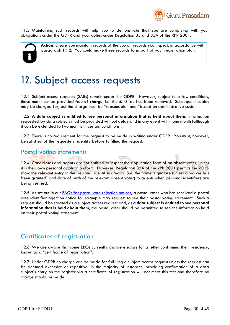

11.3 Maintaining such records will help you to demonstrate that you are complying with your obligations under the GDPR and your duties under Regulation 35 and 35A of the RPR 2001.



**Action:** Ensure you maintain records of the council records you inspect, in accordance with paragraph **[11.2](#page-28-0)**. You could make these records form part of your registration plan.

## <span id="page-29-0"></span>12. Subject access requests

12.1 Subject access requests (SARs) remain under the GDPR. However, subject to a few conditions, these must now be provided **free of charge**, i.e. the £10 fee has been removed. Subsequent copies may be charged for, but the charge must be "reasonable" and "based on administrative costs".

12.2 **A data subject is entitled to see personal information that is held about them.** Information requested by data subjects must be provided without delay and in any event within one month (although it can be extended to two months in certain conditions).

12.3 There is no requirement for the request to be made in writing under GDPR. You must, however, be satisfied of the requesters' identity before fulfilling the request.

### Postal voting statements

12.4 Candidates and agents are not entitled to inspect the application form of an absent voter, unless it is their own personal application form. However, Regulation 85A of the RPR 2001 permits the RO to show the relevant entry in the personal identifiers record (i.e. the name, signature (unless a waiver has been granted) and date of birth of the relevant absent voter) to agents when personal identifiers are being verified.

12.5 As set out in our **FAQs** for postal vote rejection notices, a postal voter who has received a postal vote identifier rejection notice for example may request to see their postal voting statement. Such a request should be treated as a subject access request and, as **a data subject is entitled to see personal information that is held about them**, the postal voter should be permitted to see the information held on their postal voting statement.

### Certificates of registration

12.6 We are aware that some EROs currently charge electors for a letter confirming their residency, known as a "certificate of registration".

12.7 Under GDPR no charge can be made for fulfilling a subject access request unless the request can be deemed excessive or repetitive. In the majority of instances, providing confirmation of a data subject's entry on the register via a certificate of registration will not meet this test and therefore no charge should be made.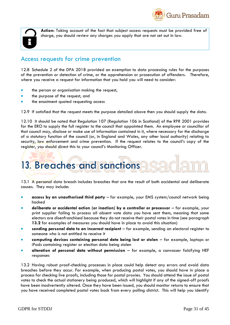



**Action:** Taking account of the fact that subject access requests must be provided free of charge, you should review any charges you apply that are not set out in law.

### Access requests for crime prevention

12.8 Schedule 2 of the DPA 2018 provided an exemption to data processing rules for the purposes of the prevention or detection of crime, or the apprehension or prosecution of offenders. Therefore, where you receive a request for information that you hold you will need to consider:

- the person or organisation making the request,
- the purpose of the request, and
- the enactment quoted requesting access

12.9 If satisfied that the request meets the purpose detailed above then you should supply the data.

12.10 It should be noted that Regulation 107 (Regulation 106 in Scotland) of the RPR 2001 provides for the ERO to supply the full register to the council that appointed them. An employee or councillor of that council may, disclose or make use of information contained in it, where necessary for the discharge of a statutory function of the council (or, in England and Wales, any other local authority) relating to security, law enforcement and crime prevention. If the request relates to the council's copy of the register, you should direct this to your council's Monitoring Officer.

# <span id="page-30-0"></span>13. Breaches and sanctions

13.1 A personal data breach includes breaches that are the result of both accidental and deliberate causes. They may include:

- **access by an unauthorised third party** for example, your EMS system/council network being hacked
- **deliberate or accidental action (or inaction) by a controller or processor** for example, your print supplier failing to process all absent vote data you have sent them, meaning that some electors are disenfranchised because they do not receive their postal votes in time (see paragraph **[13.2](#page-30-1)** for examples of measures you should have in place to avoid this situation)
- **sending personal data to an incorrect recipient** for example, sending an electoral register to someone who is not entitled to receive it
- **computing devices containing personal data being lost or stolen** for example, laptops or iPads containing register or election data being stolen
- **alteration of personal data without permission** for example, a canvasser falsifying HEF responses

<span id="page-30-1"></span>13.2 Having robust proof-checking processes in place could help detect any errors and avoid data breaches before they occur. For example, when producing postal votes, you should have in place a process for checking live proofs, including those for postal proxies. You should attend the issue of postal votes to check the actual stationery being produced, which will highlight if any of the signed-off proofs have been inadvertently altered. Once they have been issued, you should monitor returns to ensure that you have received completed postal votes back from every polling district. This will help you identify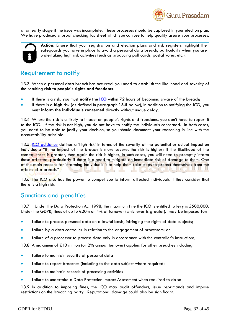

at an early stage if the issue was incomplete. These processes should be captured in your election plan. We have produced a proof checking factsheet which you can use to help quality assure your processes.



**Action:** Ensure that your registration and election plans and risk registers highlight the safeguards you have in place to avoid a personal data breach, particularly when you are undertaking high risk activities (such as producing poll cards, postal votes, etc.).

### Requirement to notify

13.3 When a personal data breach has occurred, you need to establish the likelihood and severity of the resulting **risk to people's rights and freedoms**:

- If there is a risk, you must **notify the [ICO](http://ico.org.uk/for-organisations/report-a-breach/)** within 72 hours of becoming aware of the breach;
- If there is a **high** risk (as defined in paragraph **[13.5](#page-31-0)** below), in addition to notifying the ICO, you must **inform the individuals concerned** directly without undue delay.

13.4 Where the risk is unlikely to impact on people's rights and freedoms, you don't have to report it to the ICO. If the risk is not high, you do not have to notify the individuals concerned. In both cases, you need to be able to justify your decision, so you should document your reasoning in line with the accountability principle.

<span id="page-31-0"></span>13.5 ICO quidance defines a 'high risk' in terms of the severity of the potential or actual impact on individuals: "If the impact of the breach is more severe, the risk is higher; if the likelihood of the consequences is greater, then again the risk is higher. In such cases, you will need to promptly inform those affected, particularly if there is a need to mitigate an immediate risk of damage to them. One of the main reasons for informing individuals is to help them take steps to protect themselves from the effects of a breach."

13.6 The ICO also has the power to compel you to inform affected individuals if they consider that there is a high risk.

### Sanctions and penalties

13.7 Under the Data Protection Act 1998, the maximum fine the ICO is entitled to levy is £500,000. Under the GDPR, fines of up to  $\epsilon$ 20m or 4% of turnover (whichever is greater). may be imposed for:

- failure to process personal data on a lawful basis, infringing the rights of data subjects;
- failure by a data controller in relation to the engagement of processors; or
- failure of a processor to process data only in accordance with the controller's instructions;

13.8 A maximum of €10 million (or 2% annual turnover) applies for other breaches including:

- failure to maintain security of personal data
- failure to report breaches (including to the data subject where required)
- **•** failure to maintain records of processing activities
- failure to undertake a Data Protection Impact Assessment when required to do so

13.9 In addition to imposing fines, the ICO may audit offenders, issue reprimands and impose restrictions on the breaching party. Reputational damage could also be significant.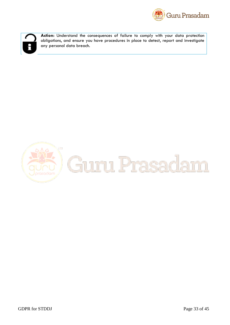



**Action:** Understand the consequences of failure to comply with your data protection obligations, and ensure you have procedures in place to detect, report and investigate any personal data breach.

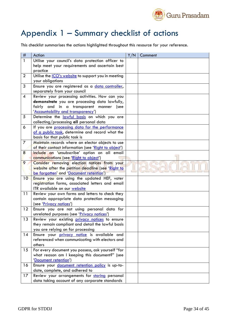

## <span id="page-33-0"></span>Appendix 1 – Summary checklist of actions

This checklist summarises the actions highlighted throughout this resource for your reference.

| #              | Action                                                                           | Y/N | Comment |
|----------------|----------------------------------------------------------------------------------|-----|---------|
| $\mathbf{1}$   | Utilise your council's data protection officer to                                |     |         |
|                | help meet your requirements and ascertain best                                   |     |         |
|                | practice                                                                         |     |         |
| $\overline{2}$ | Utilise the <i>ICO's website</i> to support you in meeting                       |     |         |
|                | your obligations                                                                 |     |         |
| 3              | Ensure you are registered as a <i>data controller</i> ,                          |     |         |
|                | separately from your council                                                     |     |         |
| $\overline{4}$ | Review your processing activities. How can you                                   |     |         |
|                | demonstrate you are processing data lawfully,                                    |     |         |
|                | fairly and in a transparent manner (see                                          |     |         |
|                | 'Accountability and transparency')                                               |     |         |
| 5              | Determine the lawful basis on which you are                                      |     |         |
|                | collecting/processing all personal data                                          |     |         |
| 6              | If you are processing data for the performance                                   |     |         |
|                | of a public task, determine and record what the                                  |     |         |
|                | basis for that public task is                                                    |     |         |
| $\overline{7}$ | Maintain records where an elector objects to use                                 |     |         |
|                | of their contact information (see 'Right to object')                             |     |         |
| 8              | Include an 'unsubscribe' option on all email                                     |     |         |
|                | communications (see 'Right to object')                                           |     |         |
| 9              | Consider removing election notices from your                                     |     |         |
|                | website after the petition deadline (see 'Right to                               |     |         |
| 10             | be forgotten' and 'Document retention')                                          |     |         |
|                | Ensure you are using the updated HEF, voter                                      |     |         |
|                | registration forms, associated letters and email<br>ITR available on our website |     |         |
| 11             | Review your own forms and letters to check they                                  |     |         |
|                | contain appropriate data protection messaging                                    |     |         |
|                | (see 'Privacy notices')                                                          |     |         |
| 12             | Ensure you are not using personal data for                                       |     |         |
|                | unrelated purposes (see 'Privacy notices')                                       |     |         |
| 13             | Review your existing <b>privacy notices</b> to ensure                            |     |         |
|                | they remain compliant and detail the lawful basis                                |     |         |
|                | you are relying on for processing                                                |     |         |
| 14             | Ensure your privacy notice is available and                                      |     |         |
|                | referenced when communicating with electors and                                  |     |         |
|                | others                                                                           |     |         |
| 15             | For every document you possess, ask yourself "for                                |     |         |
|                | what reason am I keeping this document?" (see                                    |     |         |
|                | 'Document retention')                                                            |     |         |
| 16             | Ensure your document retention policy is up-to-                                  |     |         |
|                | date, complete, and adhered to                                                   |     |         |
| 17             | Review your arrangements for storing personal                                    |     |         |
|                | data taking account of any corporate standards                                   |     |         |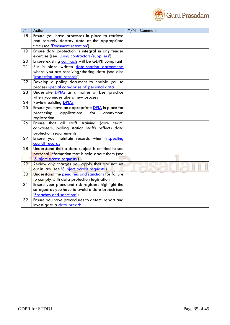

<span id="page-34-0"></span>

| $\#$ | Action                                              | Y/N | Comment |
|------|-----------------------------------------------------|-----|---------|
| 18   | Ensure you have processes in place to retrieve      |     |         |
|      | and securely destroy data at the appropriate        |     |         |
|      | time (see 'Document retention')                     |     |         |
| 19   | Ensure data protection is integral in any tender    |     |         |
|      | exercise (see 'Using contractors/suppliers')        |     |         |
| 20   | Ensure existing contracts will be GDPR compliant    |     |         |
| 21   | Put in place written data-sharing agreements        |     |         |
|      | where you are receiving/sharing data (see also      |     |         |
|      | 'Inspecting local records')                         |     |         |
| 22   | Develop a policy document to enable you to          |     |         |
|      | process special categories of personal data         |     |         |
| 23   | Undertake <b>DPIAs</b> as a matter of best practice |     |         |
|      | when you undertake a new process                    |     |         |
| 24   | <b>Review existing DPIAs</b>                        |     |         |
| 25   | Ensure you have an appropriate DPIA in place for    |     |         |
|      | processing<br>applications<br>for<br>anonymous      |     |         |
|      | registration                                        |     |         |
| 26   | all staff training<br>Ensure that<br>(core<br>team, |     |         |
|      | canvassers, polling station staff) reflects data    |     |         |
|      | protection requirements                             |     |         |
| 27   | Ensure you maintain records when inspecting         |     |         |
|      | council records                                     |     |         |
| 28   | Understand that a data subject is entitled to see   |     |         |
|      | personal information that is held about them (see   |     |         |
|      | 'Subject access requests')                          |     |         |
| 29   | Review any charges you apply that are not set       |     |         |
|      | out in law (see 'Subject access requests')          |     |         |
| 30   | Understand the penalties and sanctions for failure  |     |         |
|      | to comply with data protection legislation          |     |         |
| 31   | Ensure your plans and risk registers highlight the  |     |         |
|      | safeguards you have to avoid a data breach (see     |     |         |
|      | 'Breaches and sanctions')                           |     |         |
| 32   | Ensure you have procedures to detect, report and    |     |         |
|      | investigate a data breach                           |     |         |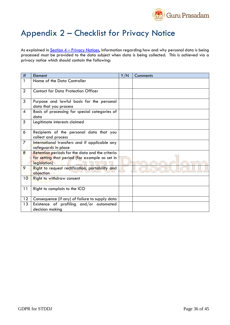

## Appendix 2 – Checklist for Privacy Notice

As explained in Section 4 – [Privacy Notices,](#page-20-0) information regarding how and why personal data is being processed must be provided to the data subject when data is being collected. This is achieved via a privacy notice which should contain the following:

<span id="page-35-0"></span>

| #              | Element                                         | Y/N | Comments |
|----------------|-------------------------------------------------|-----|----------|
| $\mathbf{1}$   | Name of the Data Controller                     |     |          |
| $\overline{2}$ | <b>Contact for Data Protection Officer</b>      |     |          |
|                |                                                 |     |          |
| 3              | Purpose and lawful basis for the personal       |     |          |
|                | data that you process                           |     |          |
| 4              | Basis of processing for special categories of   |     |          |
|                | data                                            |     |          |
| 5              | Legitimate interests claimed                    |     |          |
|                |                                                 |     |          |
| 6              | Recipients of the personal data that you        |     |          |
|                | collect and process                             |     |          |
| $\overline{7}$ | International transfers and if applicable any   |     |          |
|                | safeguards in place                             |     |          |
| 8              | Retention periods for the data and the criteria |     |          |
|                | for setting that period (for example as set in  |     |          |
|                | legislation)                                    |     |          |
| 9              | Right to request rectification, portability and |     |          |
|                | objection                                       |     |          |
| 10             | Right to withdraw consent                       |     |          |
|                |                                                 |     |          |
| 11             | Right to complain to the ICO                    |     |          |
|                |                                                 |     |          |
| 12             | Consequence (if any) of failure to supply data  |     |          |
| 13             | Existence of profiling and/or automated         |     |          |
|                | decision making                                 |     |          |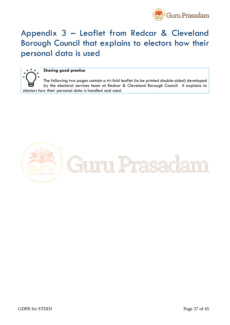

## Appendix 3 – Leaflet from Redcar & Cleveland Borough Council that explains to electors how their personal data is used



The following two pages contain a tri-fold leaflet (to be printed double-sided) developed by the electoral services team at Redcar & Cleveland Borough Council. It explains to electors how their personal data is handled and used.

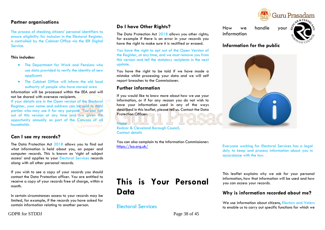#### **Partner organisations**

The process of checking citizens' personal identifiers to ensure eligibility for inclusion in the Electoral Register, is controlled by the Cabinet Office via the IER Digital Service.

#### **This includes:**

- The Department for Work and Pensions who use data provided to verify the identity of new applicants
- The Cabinet Office will inform the old local authority of people who have moved area

Information will be processed within the EEA and will not be shared with overseas recipients.

If your details are in the Open version of the Electoral Register, your name and address can be sold to third parties who may use it for any purpose. You can opt out of this version at any time and are given the opportunity annually as part of the Canvass of all households.

#### **Can I see my records?**

The Data Protection Act 2018 allows you to find out what information is held about you, on paper and computer records. This is known as 'right of subject access' and applies to your Electoral Services records along with all other personal records.

If you wish to see a copy of your records you should contact the Data Protection officer. You are entitled to receive a copy of your records free of charge, within a month.

In certain circumstances access to your records may be limited, for example, if the records you have asked for contain information relating to another person.

### **Do I have Other Rights?**

The Data Protection Act 2018 allows you other rights: for example if there is an error in your records you have the right to make sure it is rectified or erased.

You have the right to opt out of the Open Version of the Register, at any time, and we must remove you from this version and tell the statutory recipients in the next update.

You have the right to be told if we have made a mistake whilst processing your data and we will self report breaches to the Commissioner.

#### **Further information**

If you would like to know more about how we use your information, or if for any reason you do not wish to have your information used in any of the ways described in this leaflet, please tell us. Contact the Data Protection Officer:

#### Name<sub>s</sub>

Redcar & Cleveland Borough Council, Contact details

You can also complain to the Information Commissioner: <https://ico.org.uk/>

## **This is Your Personal Data**

### Electoral Services

How we handle your information



### **Information for the public**



Everyone working for Electoral Services has a legal duty to keep and process information about you in accordance with the law.

This leaflet explains why we ask for your personal information, how that information will be used and how you can access your records.

#### **Why is information recorded about me?**

We use information about citizens, Electors and Voters to enable us to carry out specific functions for which we

GDPR for STDDJ Page 38 of 45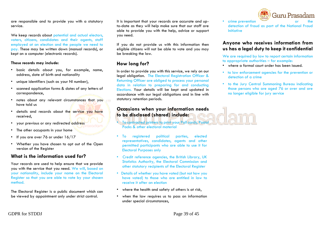are responsible and to provide you with a statutory service.

We keep records about potential and actual electors, voters, citizens, candidates and their agents, staff employed at an election and the people we need to pay. These may be written down (manual records), or kept on a computer (electronic records).

#### **These records may include:**

- basic details about you, for example, name, address, date of birth and nationality
- unique identifiers (such as your NI number),
- scanned application forms & dates of any letters of correspondence,
- notes about any relevant circumstances that you have told us
- details and records about the service you have received,
- your previous or any redirected address
- The other occupants in your home
- If you are over 76 or under 16/17
- Whether you have chosen to opt out of the Open version of the Register

#### **What is the information used for?**

Your records are used to help ensure that we provide you with the service that you need. We will, based on your nationality, include your name on the Electoral Register so that you are able to vote by your chosen method.

The Electoral Register is a public document which can be viewed by appointment only under strict control.

It is important that your records are accurate and upto-date as they will help make sure that our staff are able to provide you with the help, advice or support you need.

If you do not provide us with this information then eligible citizens will not be able to vote and you may be breaking the law.

### **How long for?**

In order to provide you with this service, we rely on our legal obligation. The Electoral Registration Officer & Returning Officer are obliged to process your personal data in relation to preparing for and conducting Elections. Your details will be kept and updated in accordance with our legal obligations and in line with statutory retention periods.

### **Occasions when your information needs to be disclosed (shared) include:**

- To contracted printers to print your Poll cards, Postal Packs & other electoral material
- To registered political parties, elected representatives, candidates, agents and other permitted participants who are able to use it for Electoral Purposes only
- Credit reference agencies, the British Library, UK Statistics Authority, the Electoral Commission and other statutory recipients of the Electoral Register
- Details of whether you have voted (but not how you have voted) to those who are entitled in law to receive it after an election
- where the health and safety of others is at risk,
- when the law requires us to pass on information under special circumstances,

crime prevention detection of fraud as part of the National Fraud Initiative

Guru Prasadam

### **Anyone who receives information from us has a legal duty to keep it confidential**

We are required by law to report certain information to appropriate authorities – for example:

- where a formal court order has been issued.
- to law enforcement agencies for the prevention or detection of a crime
- to the Jury Central Summoning Bureau indicating those persons who are aged 76 or over and are no longer eligible for jury service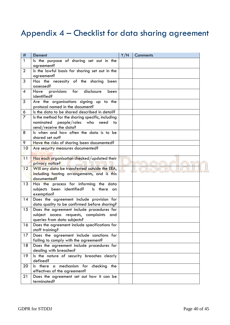## <span id="page-39-0"></span>Appendix 4 – Checklist for data sharing agreement

| $\#$            | Element                                                                | Y/N | Comments |
|-----------------|------------------------------------------------------------------------|-----|----------|
| $\overline{1}$  | Is the purpose of sharing set out in the                               |     |          |
|                 | agreement?                                                             |     |          |
| $\overline{2}$  | Is the lawful basis for sharing set out in the                         |     |          |
|                 | agreement?                                                             |     |          |
| 3               | Has the necessity of the sharing<br>been                               |     |          |
|                 | assessed?                                                              |     |          |
| $\overline{4}$  | for<br>Have<br>provisions<br>disclosure<br>been<br>identified?         |     |          |
| 5               | Are the organisations signing up to the                                |     |          |
|                 | protocol named in the document?                                        |     |          |
| 6               | Is the data to be shared described in detail?                          |     |          |
| $\overline{7}$  | Is the method for the sharing specific, including                      |     |          |
|                 | nominated people/roles who need<br>to                                  |     |          |
|                 | send/receive the data?                                                 |     |          |
| 8               | Is when and how often the data is to be<br>shared set out?             |     |          |
| 9               | Have the risks of sharing been documented?                             |     |          |
| 10              | Are security measures documented?                                      |     |          |
|                 |                                                                        |     |          |
| $\overline{11}$ | Has each organisation checked/updated their                            |     |          |
|                 | privacy notice?                                                        |     |          |
| 12              | Will any data be transferred outside the EEA,                          |     |          |
|                 | including hosting arrangements, and is this                            |     |          |
|                 | documented?                                                            |     |          |
| 13              | Has the process for informing the data                                 |     |          |
|                 | subjects been identified? Is there an                                  |     |          |
|                 | exemption?                                                             |     |          |
| 14              | Does the agreement include provision for                               |     |          |
|                 | data quality to be confirmed before sharing?                           |     |          |
| 15              | Does the agreement include procedures for                              |     |          |
|                 | subject access requests, complaints and<br>queries from data subjects? |     |          |
| 16              | Does the agreement include specifications for                          |     |          |
|                 | staff training?                                                        |     |          |
| 17              | Does the agreement include sanctions for                               |     |          |
|                 | failing to comply with the agreement?                                  |     |          |
| 18              | Does the agreement include procedures for                              |     |          |
|                 | dealing with breaches?                                                 |     |          |
| 19              | Is the nature of security breaches clearly                             |     |          |
|                 | defined?                                                               |     |          |
| 20              | Is there a mechanism for checking the                                  |     |          |
|                 | effectives of the agreement?                                           |     |          |
| 21              | Does the agreement set out how it can be                               |     |          |
|                 | terminated?                                                            |     |          |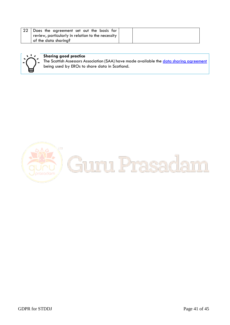| $\vert$ 22 $\vert$ Does the agreement set out the basis for |  |
|-------------------------------------------------------------|--|
| review, particularly in relation to the necessity           |  |
| of the data sharing?                                        |  |



### **Sharing good practice**

The Scottish Assessors Association (SAA) have made available the [data sharing agreement](http://www.electoralcommission.org.uk/__data/assets/pdf_file/0009/239589/Sharing-good-practice-Data-sharing-agreement.pdf) being used by EROs to share data in Scotland.

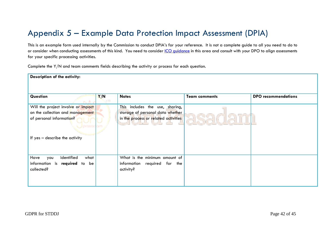## Appendix 5 – Example Data Protection Impact Assessment (DPIA)

This is an example form used internally by the Commission to conduct DPIA's for your reference. It is not a complete guide to all you need to do to or consider when conducting assessments of this kind. You need to consider *ICO guidance* in this area and consult with your DPO to align assessments for your specific processing activities.

Complete the Y/N and team comments fields describing the activity or process for each question.

<span id="page-41-0"></span>

| Description of the activity:           |            |                                      |                      |                            |
|----------------------------------------|------------|--------------------------------------|----------------------|----------------------------|
|                                        |            |                                      |                      |                            |
|                                        |            |                                      |                      |                            |
| Question                               | Y/N<br>TM. | <b>Notes</b>                         | <b>Team comments</b> | <b>DPO</b> recommendations |
| Will the project involve or impact     |            | includes the use, sharing,<br>This   |                      |                            |
| on the collection and management       |            | storage of personal data whether     |                      |                            |
| of personal information?               |            | in the process or related activities |                      |                            |
| y prosociam                            |            |                                      |                      |                            |
|                                        |            |                                      |                      |                            |
| If yes - describe the activity         |            |                                      |                      |                            |
|                                        |            |                                      |                      |                            |
|                                        |            |                                      |                      |                            |
| identified<br>Have<br>what<br>you      |            | What is the minimum amount of        |                      |                            |
| information is<br>required<br>to<br>be |            | information required for the         |                      |                            |
| collected?                             |            | activity?                            |                      |                            |
|                                        |            |                                      |                      |                            |
|                                        |            |                                      |                      |                            |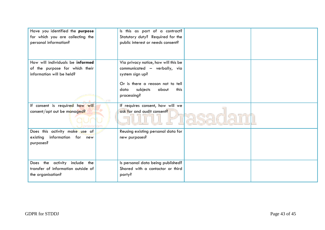| Have you identified the purpose                                                                 | Is this as part of a contract?                                                                                                                                                  |
|-------------------------------------------------------------------------------------------------|---------------------------------------------------------------------------------------------------------------------------------------------------------------------------------|
| for which you are collecting the                                                                | Statutory duty? Required for the                                                                                                                                                |
| personal information?                                                                           | public interest or needs consent?                                                                                                                                               |
| How will individuals be informed<br>of the purpose for which their<br>information will be held? | Via privacy notice, how will this be<br>communicated - verbally, via<br>system sign up?<br>Or is there a reason not to tell<br>subjects<br>about<br>this<br>data<br>processing? |
| If consent is required how will                                                                 | If requires consent, how will we                                                                                                                                                |
| consent/opt out be managed?                                                                     | ask for and audit consent?                                                                                                                                                      |
| Does this activity make use of<br>existing information for new<br>purposes?                     | Reusing existing personal data for<br>new purposes?                                                                                                                             |
| Does the activity include the                                                                   | Is personal data being published?                                                                                                                                               |
| transfer of information outside of                                                              | Shared with a contactor or third                                                                                                                                                |
| the organisation?                                                                               | party?                                                                                                                                                                          |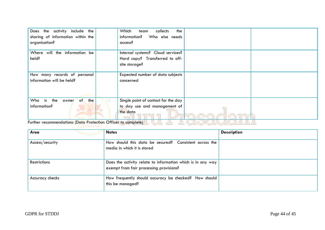| Does the activity include the<br>sharing of information within the<br>organisation? | Which<br>collects<br>the<br>team<br>Who else needs<br>information?<br>access? |  |  |
|-------------------------------------------------------------------------------------|-------------------------------------------------------------------------------|--|--|
| Where will the information be                                                       | Internal systems? Cloud services?                                             |  |  |
| held?                                                                               | Hard copy? Transferred to off-                                                |  |  |
|                                                                                     | site storage?                                                                 |  |  |
| How many records of personal                                                        | Expected number of data subjects                                              |  |  |
| information will be held?                                                           | concerned                                                                     |  |  |
| $of-$<br>the<br>Who is<br>the<br>owner                                              | Single point of contact for the day                                           |  |  |
| information?                                                                        | to day use and management of                                                  |  |  |
|                                                                                     | the data                                                                      |  |  |
| Further recommendations (Data Protection Officer to complete)<br>_______________    |                                                                               |  |  |

| Area                | <b>Notes</b>                                                                                           | <b>Description</b> |
|---------------------|--------------------------------------------------------------------------------------------------------|--------------------|
| Access/security     | How should this data be secured? Consistent across the<br>media in which it is stored                  |                    |
| <b>Restrictions</b> | Does the activity relate to information which is in any way<br>exempt from fair processing provisions? |                    |
| Accuracy checks     | How frequently should accuracy be checked? How should<br>this be managed?                              |                    |